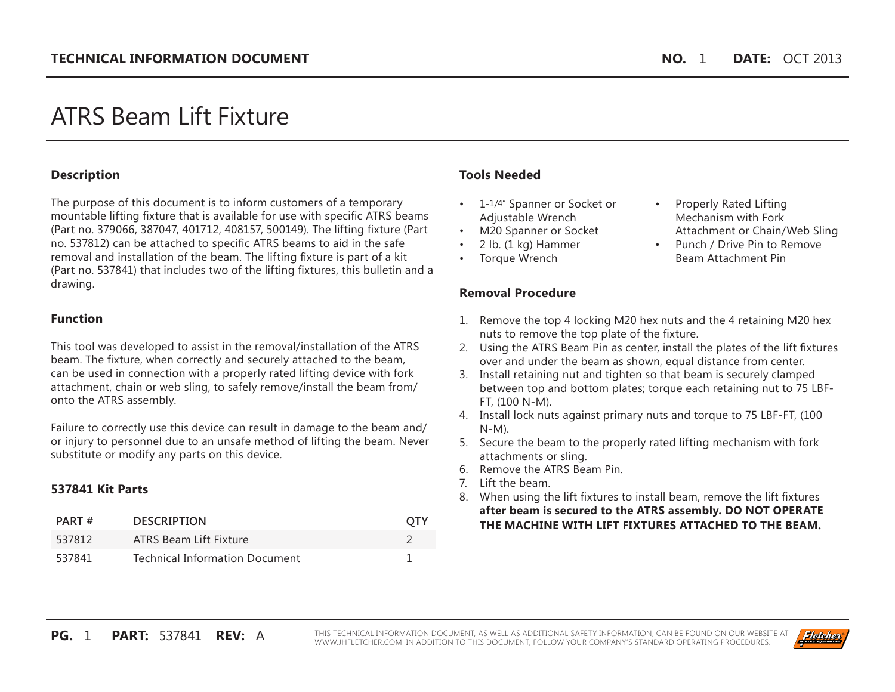# ATRS Beam Lift Fixture

## **Description**

The purpose of this document is to inform customers of a temporary mountable lifting fixture that is available for use with specific ATRS beams (Part no. 379066, 387047, 401712, 408157, 500149). The lifting fixture (Part no. 537812) can be attached to specific ATRS beams to aid in the safe removal and installation of the beam. The lifting fixture is part of a kit (Part no. 537841) that includes two of the lifting fixtures, this bulletin and a drawing.

## **Function**

This tool was developed to assist in the removal/installation of the ATRS beam. The fixture, when correctly and securely attached to the beam, can be used in connection with a properly rated lifting device with fork attachment, chain or web sling, to safely remove/install the beam from/ onto the ATRS assembly.

Failure to correctly use this device can result in damage to the beam and/ or injury to personnel due to an unsafe method of lifting the beam. Never substitute or modify any parts on this device.

## **537841 Kit Parts**

| PART#  | <b>DESCRIPTION</b>                    | OTY |
|--------|---------------------------------------|-----|
| 537812 | ATRS Beam Lift Fixture                |     |
| 537841 | <b>Technical Information Document</b> |     |

# **Tools Needed**

- 1-1/4" Spanner or Socket or Adjustable Wrench
- M20 Spanner or Socket
- $\cdot$  2 lb. (1 kg) Hammer
- Torque Wrench

## **Removal Procedure**

- Properly Rated Lifting Mechanism with Fork Attachment or Chain/Web Sling
- Punch / Drive Pin to Remove Beam Attachment Pin
- 1. Remove the top 4 locking M20 hex nuts and the 4 retaining M20 hex nuts to remove the top plate of the fixture.
- 2. Using the ATRS Beam Pin as center, install the plates of the lift fixtures over and under the beam as shown, equal distance from center.
- 3. Install retaining nut and tighten so that beam is securely clamped between top and bottom plates; torque each retaining nut to 75 LBF-FT, (100 N-M).
- 4. Install lock nuts against primary nuts and torque to 75 LBF-FT, (100 N-M).
- 5. Secure the beam to the properly rated lifting mechanism with fork attachments or sling.
- 6. Remove the ATRS Beam Pin.
- 7. Lift the beam.
- 8. When using the lift fixtures to install beam, remove the lift fixtures **after beam is secured to the ATRS assembly. DO NOT OPERATE THE MACHINE WITH LIFT FIXTURES ATTACHED TO THE BEAM.**

**PG.** 1 **PART:** 537841 **REV:** A THIS TECHNICAL INFORMATION DOCUMENT, AS WELL AS ADDITIONAL SAFETY INFORMATION, CAN BE FOUND ON OUR WEBSITE AT WWW.JHFLETCHER.COM. IN ADDITION TO THIS DOCUMENT, FOLLOW YOUR COMPANY'S STANDARD OPERATING PROCEDURES.